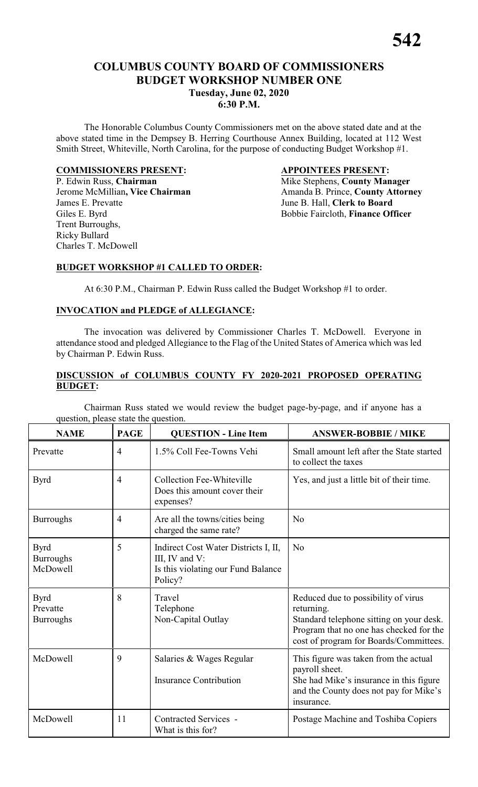# **COLUMBUS COUNTY BOARD OF COMMISSIONERS BUDGET WORKSHOP NUMBER ONE Tuesday, June 02, 2020 6:30 P.M.**

The Honorable Columbus County Commissioners met on the above stated date and at the above stated time in the Dempsey B. Herring Courthouse Annex Building, located at 112 West Smith Street, Whiteville, North Carolina, for the purpose of conducting Budget Workshop #1.

#### **COMMISSIONERS PRESENT: APPOINTEES PRESENT:**

P. Edwin Russ, **Chairman** Mike Stephens, **County Manager** James E. Prevatte June B. Hall, **Clerk to Board** Trent Burroughs, Ricky Bullard Charles T. McDowell

Jerome McMillian, Vice Chairman Amanda B. Prince, County Attorney Giles E. Byrd Bobbie Faircloth, **Finance Officer** 

## **BUDGET WORKSHOP #1 CALLED TO ORDER:**

At 6:30 P.M., Chairman P. Edwin Russ called the Budget Workshop #1 to order.

## **INVOCATION and PLEDGE of ALLEGIANCE:**

The invocation was delivered by Commissioner Charles T. McDowell. Everyone in attendance stood and pledged Allegiance to the Flag of the United States of America which was led by Chairman P. Edwin Russ.

#### **DISCUSSION of COLUMBUS COUNTY FY 2020-2021 PROPOSED OPERATING BUDGET:**

Chairman Russ stated we would review the budget page-by-page, and if anyone has a question, please state the question.

| <b>NAME</b>                                 | <b>PAGE</b>    | <b>QUESTION - Line Item</b>                                                                             | <b>ANSWER-BOBBIE / MIKE</b>                                                                                                                                                        |
|---------------------------------------------|----------------|---------------------------------------------------------------------------------------------------------|------------------------------------------------------------------------------------------------------------------------------------------------------------------------------------|
| Prevatte                                    | $\overline{4}$ | 1.5% Coll Fee-Towns Vehi                                                                                | Small amount left after the State started<br>to collect the taxes                                                                                                                  |
| <b>Byrd</b>                                 | $\overline{4}$ | <b>Collection Fee-Whiteville</b><br>Does this amount cover their<br>expenses?                           | Yes, and just a little bit of their time.                                                                                                                                          |
| <b>Burroughs</b>                            | $\overline{4}$ | Are all the towns/cities being<br>charged the same rate?                                                | No                                                                                                                                                                                 |
| <b>Byrd</b><br><b>Burroughs</b><br>McDowell | 5              | Indirect Cost Water Districts I, II,<br>III, IV and V:<br>Is this violating our Fund Balance<br>Policy? | N <sub>o</sub>                                                                                                                                                                     |
| <b>Byrd</b><br>Prevatte<br><b>Burroughs</b> | 8              | Travel<br>Telephone<br>Non-Capital Outlay                                                               | Reduced due to possibility of virus<br>returning.<br>Standard telephone sitting on your desk.<br>Program that no one has checked for the<br>cost of program for Boards/Committees. |
| McDowell                                    | 9              | Salaries & Wages Regular<br><b>Insurance Contribution</b>                                               | This figure was taken from the actual<br>payroll sheet.<br>She had Mike's insurance in this figure<br>and the County does not pay for Mike's<br>insurance.                         |
| McDowell                                    | 11             | Contracted Services -<br>What is this for?                                                              | Postage Machine and Toshiba Copiers                                                                                                                                                |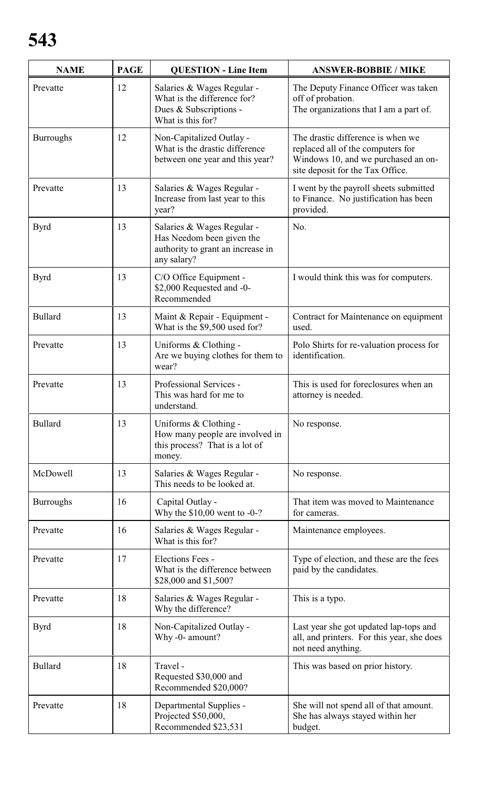| <b>NAME</b>      | <b>PAGE</b> | <b>QUESTION - Line Item</b>                                                                                 | <b>ANSWER-BOBBIE / MIKE</b>                                                                                                                       |
|------------------|-------------|-------------------------------------------------------------------------------------------------------------|---------------------------------------------------------------------------------------------------------------------------------------------------|
| Prevatte         | 12          | Salaries & Wages Regular -<br>What is the difference for?<br>Dues & Subscriptions -<br>What is this for?    | The Deputy Finance Officer was taken<br>off of probation.<br>The organizations that I am a part of.                                               |
| <b>Burroughs</b> | 12          | Non-Capitalized Outlay -<br>What is the drastic difference<br>between one year and this year?               | The drastic difference is when we<br>replaced all of the computers for<br>Windows 10, and we purchased an on-<br>site deposit for the Tax Office. |
| Prevatte         | 13          | Salaries & Wages Regular -<br>Increase from last year to this<br>year?                                      | I went by the payroll sheets submitted<br>to Finance. No justification has been<br>provided.                                                      |
| <b>Byrd</b>      | 13          | Salaries & Wages Regular -<br>Has Needom been given the<br>authority to grant an increase in<br>any salary? | No.                                                                                                                                               |
| <b>Byrd</b>      | 13          | C/O Office Equipment -<br>\$2,000 Requested and -0-<br>Recommended                                          | I would think this was for computers.                                                                                                             |
| <b>Bullard</b>   | 13          | Maint & Repair - Equipment -<br>What is the \$9,500 used for?                                               | Contract for Maintenance on equipment<br>used.                                                                                                    |
| Prevatte         | 13          | Uniforms & Clothing -<br>Are we buying clothes for them to<br>wear?                                         | Polo Shirts for re-valuation process for<br>identification.                                                                                       |
| Prevatte         | 13          | Professional Services -<br>This was hard for me to<br>understand.                                           | This is used for foreclosures when an<br>attorney is needed.                                                                                      |
| <b>Bullard</b>   | 13          | Uniforms & Clothing -<br>How many people are involved in<br>this process? That is a lot of<br>money.        | No response.                                                                                                                                      |
| McDowell         | 13          | Salaries & Wages Regular -<br>This needs to be looked at.                                                   | No response.                                                                                                                                      |
| <b>Burroughs</b> | 16          | Capital Outlay -<br>Why the $$10,00$ went to -0-?                                                           | That item was moved to Maintenance<br>for cameras.                                                                                                |
| Prevatte         | 16          | Salaries & Wages Regular -<br>What is this for?                                                             | Maintenance employees.                                                                                                                            |
| Prevatte         | 17          | Elections Fees -<br>What is the difference between<br>\$28,000 and \$1,500?                                 | Type of election, and these are the fees<br>paid by the candidates.                                                                               |
| Prevatte         | 18          | Salaries & Wages Regular -<br>Why the difference?                                                           | This is a typo.                                                                                                                                   |
| <b>Byrd</b>      | 18          | Non-Capitalized Outlay -<br>Why -0- amount?                                                                 | Last year she got updated lap-tops and<br>all, and printers. For this year, she does<br>not need anything.                                        |
| <b>Bullard</b>   | 18          | Travel -<br>Requested \$30,000 and<br>Recommended \$20,000?                                                 | This was based on prior history.                                                                                                                  |
| Prevatte         | 18          | Departmental Supplies -<br>Projected \$50,000,<br>Recommended \$23,531                                      | She will not spend all of that amount.<br>She has always stayed within her<br>budget.                                                             |